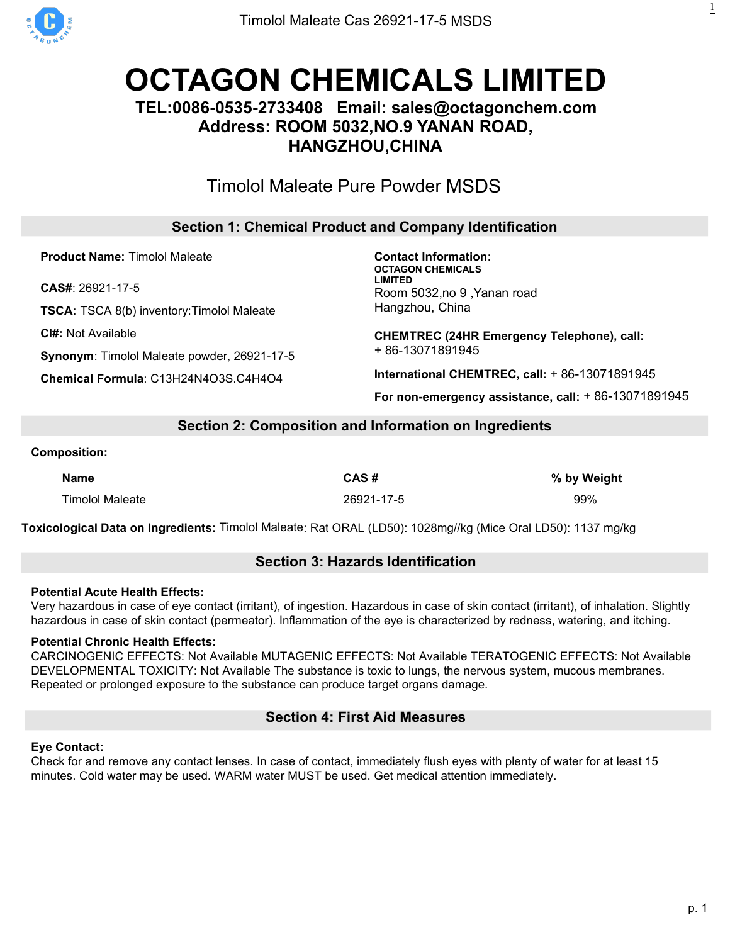

# **OCTAGON [CHEMICALS](https://octagonchem.com) LIMITED**

# **TEL:0086-0535-2733408 Email: sales@octagonchem.com Address: ROOM 5032,NO.9 YANAN ROAD, HANGZHOU,CHINA**

# Timolol [Maleate](https://octagonchem.com/timolol-maleate/) Pure Powder MSDS

# **Section 1: Chemical Product and Company Identification**

**Product Name:** Timolol Maleate

**CAS#**: 26921-17-5

**TSCA:** TSCA 8(b) inventory:Timolol Maleate

**CI#:** Not Available

**Synonym**: Timolol Maleate powder, 26921-17-5

**Chemical Formula**: C13H24N4O3S.C4H4O4

**Contact Information: OCTAGON CHEMICALS LIMITED** Room 5032,no 9 ,Yanan road Hangzhou, China

**CHEMTREC (24HR Emergency Telephone), call:** + 86-13071891945

**International CHEMTREC, call:** + 86-13071891945

**For non-emergency assistance, call:** + 86-13071891945

## **Section 2: Composition and Information on Ingredients**

#### **Composition:**

| <b>Name</b>            | CAS#       | % by Weight |
|------------------------|------------|-------------|
| <b>Timolol Maleate</b> | 26921-17-5 | 99%         |

**Toxicological Data on Ingredients:** Timolol Maleate: Rat ORAL (LD50): 1028mg//kg (Mice Oral LD50): 1137 mg/kg

## **Section 3: Hazards Identification**

#### **Potential Acute Health Effects:**

Very hazardous in case of eye contact (irritant), of ingestion. Hazardous in case of skin contact (irritant), of inhalation. Slightly hazardous in case of skin contact (permeator). Inflammation of the eye is characterized by redness, watering, and itching.

## **Potential Chronic Health Effects:**

CARCINOGENIC EFFECTS: Not Available MUTAGENIC EFFECTS: Not Available TERATOGENIC EFFECTS: Not Available DEVELOPMENTAL TOXICITY: Not Available The substance is toxic to lungs, the nervous system, mucous membranes. Repeated or prolonged exposure to the substance can produce target organs damage.

## **Section 4: First Aid Measures**

## **Eye Contact:**

Check for and remove any contact lenses. In case of contact, immediately flush eyes with plenty of water for at least 15 minutes. Cold water may be used. WARM water MUST be used. Get medical attention immediately.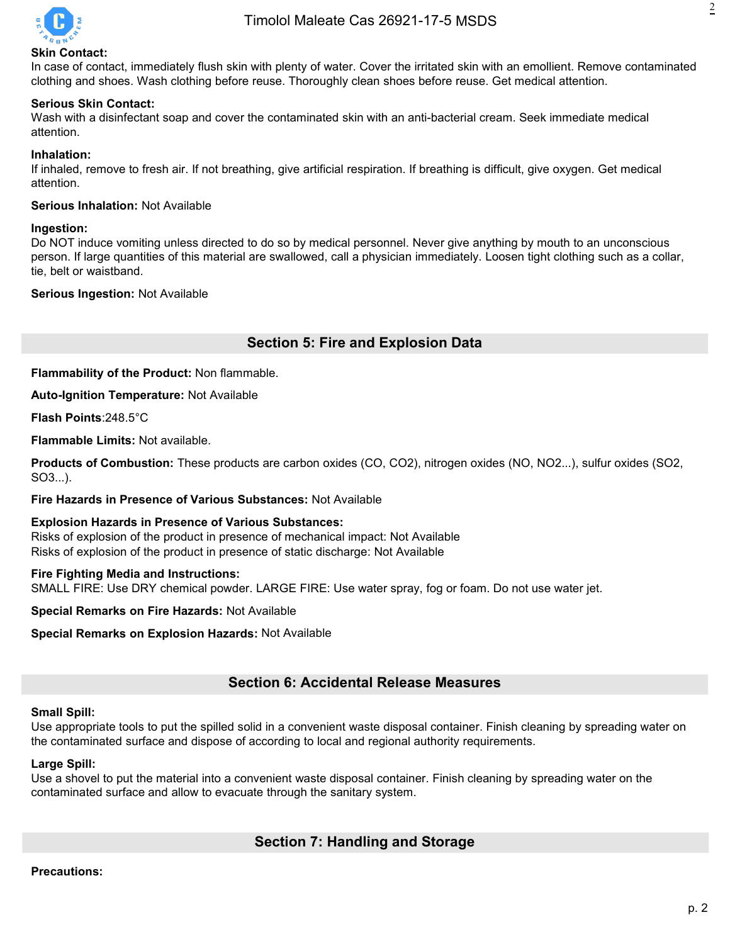

# 2

#### **Skin Contact:**

In case of contact, immediately flush skin with plenty of water. Cover the irritated skin with an emollient. Remove contaminated clothing and shoes. Wash clothing before reuse. Thoroughly clean shoes before reuse. Get medical attention.

#### **Serious Skin Contact:**

Wash with a disinfectant soap and cover the contaminated skin with an anti-bacterial cream. Seek immediate medical attention.

#### **Inhalation:**

If inhaled, remove to fresh air. If not breathing, give artificial respiration. If breathing is difficult, give oxygen. Get medical attention.

#### **Serious Inhalation:** Not Available

#### **Ingestion:**

Do NOT induce vomiting unless directed to do so by medical personnel. Never give anything by mouth to an unconscious person. If large quantities of this material are swallowed, call a physician immediately. Loosen tight clothing such as a collar, tie, belt or waistband.

#### **Serious Ingestion:** Not Available

## **Section 5: Fire and Explosion Data**

**Flammability of the Product:** Non flammable.

**Auto-Ignition Temperature:** Not Available

**Flash Points**:248.5°C

**Flammable Limits:** Not available.

**Products of Combustion:** These products are carbon oxides (CO, CO2), nitrogen oxides (NO, NO2...), sulfur oxides (SO2, SO3...).

#### **Fire Hazards in Presence of Various Substances:** Not Available

**Explosion Hazards in Presence of Various Substances:** Risks of explosion of the product in presence of mechanical impact: Not Available Risks of explosion of the product in presence of static discharge: Not Available

#### **Fire Fighting Media and Instructions:**

SMALL FIRE: Use DRY chemical powder. LARGE FIRE: Use water spray, fog or foam. Do not use water jet.

**Special Remarks on Fire Hazards:** Not Available

**Special Remarks on Explosion Hazards: Not Available** 

## **Section 6: Accidental Release Measures**

#### **Small Spill:**

Use appropriate tools to put the spilled solid in a convenient waste disposal container. Finish cleaning by spreading water on the contaminated surface and dispose of according to local and regional authority requirements.

#### **Large Spill:**

Use a shovel to put the material into a convenient waste disposal container. Finish cleaning by spreading water on the contaminated surface and allow to evacuate through the sanitary system.

## **Section 7: Handling and Storage**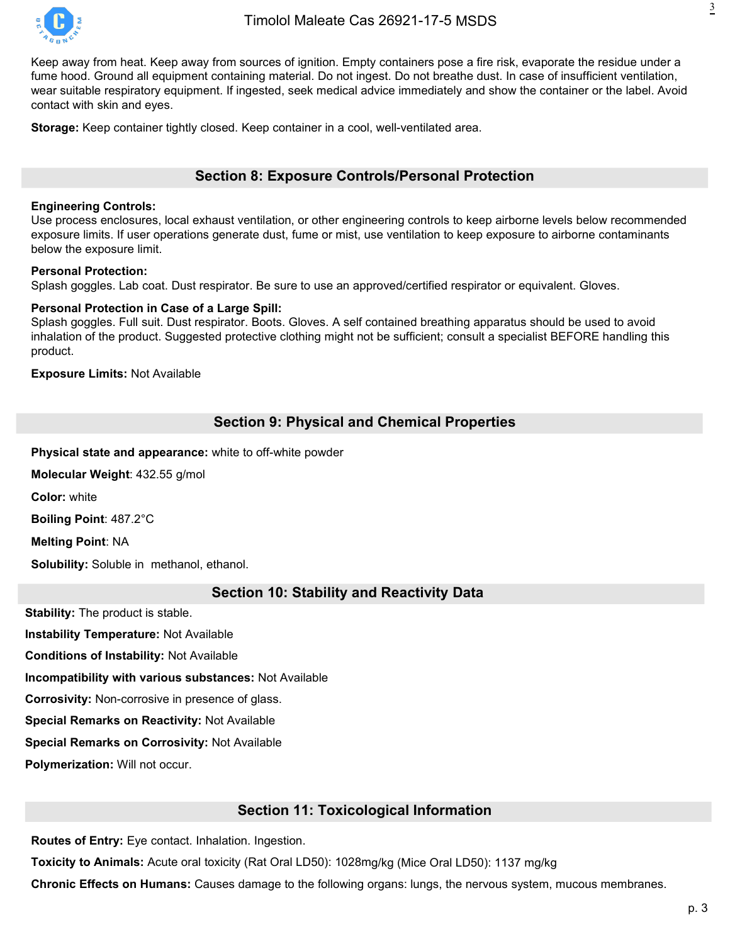

Keep away from heat. Keep away from sources of ignition. Empty containers pose a fire risk, evaporate the residue under a fume hood. Ground all equipment containing material. Do not ingest. Do not breathe dust. In case of insufficient ventilation, wear suitable respiratory equipment. If ingested, seek medical advice immediately and show the container or the label. Avoid contact with skin and eyes.

**Storage:** Keep container tightly closed. Keep container in a cool, well-ventilated area.

## **Section 8: Exposure Controls/Personal Protection**

#### **Engineering Controls:**

Use process enclosures, local exhaust ventilation, or other engineering controls to keep airborne levels below recommended exposure limits. If user operations generate dust, fume or mist, use ventilation to keep exposure to airborne contaminants below the exposure limit.

#### **Personal Protection:**

Splash goggles. Lab coat. Dust respirator. Be sure to use an approved/certified respirator or equivalent. Gloves.

#### **Personal Protection in Case of a Large Spill:**

Splash goggles. Full suit. Dust respirator. Boots. Gloves. A self contained breathing apparatus should be used to avoid inhalation of the product. Suggested protective clothing might not be sufficient; consult a specialist BEFORE handling this product.

**Exposure Limits:** Not Available

## **Section 9: Physical and Chemical Properties**

**Physical state and appearance:** white to off-white powder

**Molecular Weight**: 432.55 g/mol

**Color:** white

**Boiling Point**: 487.2°C

**Melting Point**: NA

**Solubility:** Soluble in methanol, ethanol.

#### **Section 10: Stability and Reactivity Data**

**Stability:** The product is stable.

**Instability Temperature:** Not Available

**Conditions of Instability:** Not Available

**Incompatibility with various substances:** Not Available

**Corrosivity:** Non-corrosive in presence of glass.

**Special Remarks on Reactivity:** Not Available

**Special Remarks on Corrosivity:** Not Available

**Polymerization:** Will not occur.

## **Section 11: Toxicological Information**

**Routes of Entry:** Eye contact. Inhalation. Ingestion.

**Toxicity to Animals:** Acute oral toxicity (Rat Oral LD50): 1028mg/kg (Mice Oral LD50): 1137 mg/kg

**Chronic Effects on Humans:** Causes damage to the following organs: lungs, the nervous system, mucous membranes.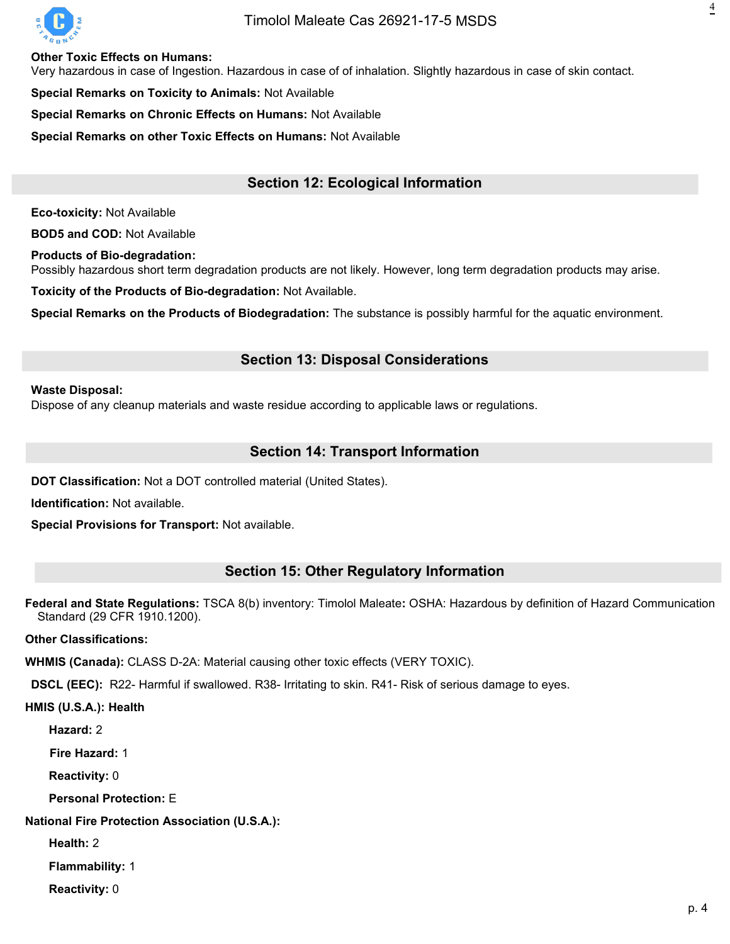

## Timolol Maleate Cas [26921-17-5](https://octagonchem.com/timolol-maleate/) MSDS

**Other Toxic Effects on Humans:**

Very hazardous in case of Ingestion. Hazardous in case of of inhalation. Slightly hazardous in case of skin contact.

**Special Remarks on Toxicity to Animals: Not Available** 

**Special Remarks on Chronic Effects on Humans:** Not Available

**Special Remarks on other Toxic Effects on Humans:** Not Available

## **Section 12: Ecological Information**

**Eco-toxicity:** Not Available

**BOD5 and COD:** Not Available

**Products of Bio-degradation:**

Possibly hazardous short term degradation products are not likely. However, long term degradation products may arise.

**Toxicity of the Products of Bio-degradation:** Not Available.

**Special Remarks on the Products of Biodegradation:** The substance is possibly harmful for the aquatic environment.

## **Section 13: Disposal Considerations**

#### **Waste Disposal:**

Dispose of any cleanup materials and waste residue according to applicable laws or regulations.

## **Section 14: Transport Information**

**DOT Classification:** Not a DOT controlled material (United States).

**Identification:** Not available.

**Special Provisions for Transport:** Not available.

## **Section 15: Other Regulatory Information**

**Federal and State Regulations:** TSCA 8(b) inventory: Timolol Maleate**:** OSHA: Hazardous by definition of Hazard Communication Standard (29 CFR 1910.1200).

**Other Classifications:**

**WHMIS (Canada):** CLASS D-2A: Material causing other toxic effects (VERY TOXIC).

**DSCL (EEC):** R22- Harmful if swallowed. R38- Irritating to skin. R41- Risk of serious damage to eyes.

**HMIS (U.S.A.): Health**

**Hazard:** 2

**Fire Hazard:** 1

**Reactivity:** 0

**Personal Protection:** E

**National Fire Protection Association (U.S.A.):**

**Health:** 2

**Flammability:** 1

**Reactivity:** 0